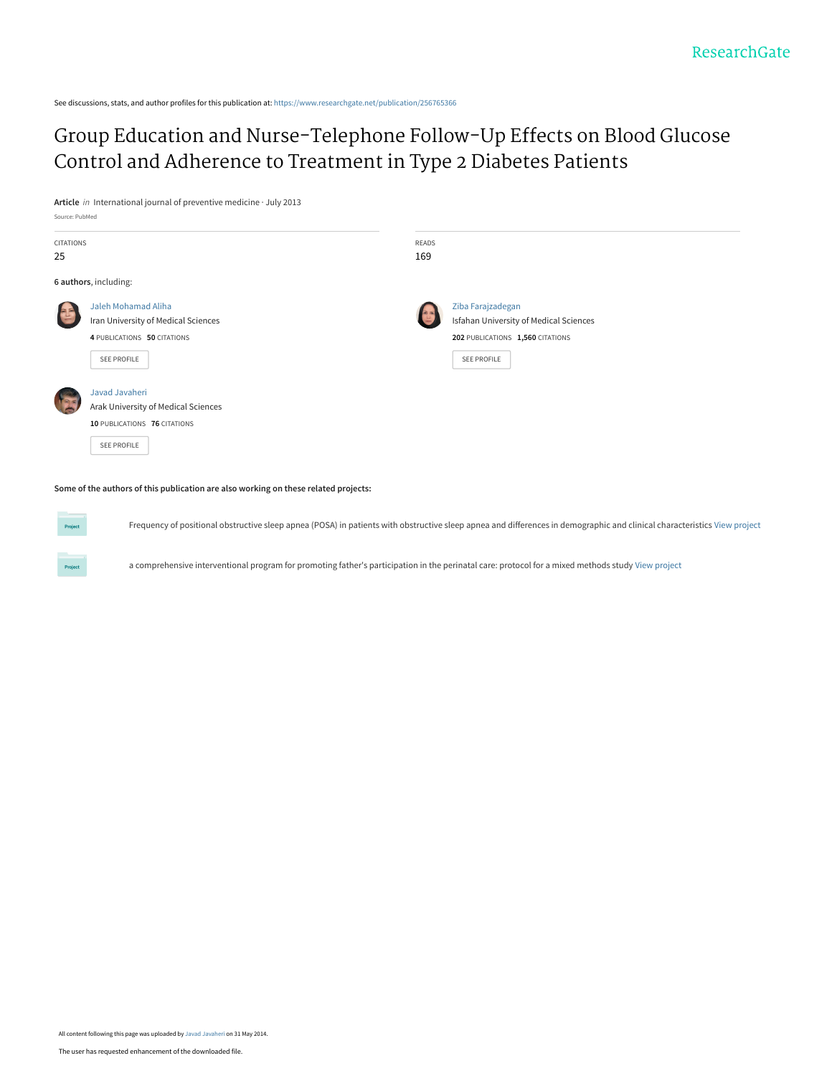See discussions, stats, and author profiles for this publication at: [https://www.researchgate.net/publication/256765366](https://www.researchgate.net/publication/256765366_Group_Education_and_Nurse-Telephone_Follow-Up_Effects_on_Blood_Glucose_Control_and_Adherence_to_Treatment_in_Type_2_Diabetes_Patients?enrichId=rgreq-28f29947a386205ab43de8437dfd514a-XXX&enrichSource=Y292ZXJQYWdlOzI1Njc2NTM2NjtBUzoxMDI3NjU4NDE4NzkwNDhAMTQwMTUxMjY5NDc1NQ%3D%3D&el=1_x_2&_esc=publicationCoverPdf)

[Group Education and Nurse-Telephone Follow-Up Effects on Blood Glucose](https://www.researchgate.net/publication/256765366_Group_Education_and_Nurse-Telephone_Follow-Up_Effects_on_Blood_Glucose_Control_and_Adherence_to_Treatment_in_Type_2_Diabetes_Patients?enrichId=rgreq-28f29947a386205ab43de8437dfd514a-XXX&enrichSource=Y292ZXJQYWdlOzI1Njc2NTM2NjtBUzoxMDI3NjU4NDE4NzkwNDhAMTQwMTUxMjY5NDc1NQ%3D%3D&el=1_x_3&_esc=publicationCoverPdf) Control and Adherence to Treatment in Type 2 Diabetes Patients

**Article** in International journal of preventive medicine · July 2013

Source: PubMed

Project

**Project** 

| CITATIONS<br>25 |                                                                                                          | READS<br>169 |                                                                                                                       |  |
|-----------------|----------------------------------------------------------------------------------------------------------|--------------|-----------------------------------------------------------------------------------------------------------------------|--|
|                 | 6 authors, including:                                                                                    |              |                                                                                                                       |  |
|                 | Jaleh Mohamad Aliha<br>Iran University of Medical Sciences<br>4 PUBLICATIONS 50 CITATIONS<br>SEE PROFILE |              | Ziba Farajzadegan<br>Isfahan University of Medical Sciences<br>202 PUBLICATIONS 1,560 CITATIONS<br><b>SEE PROFILE</b> |  |
|                 | Javad Javaheri<br>Arak University of Medical Sciences<br>10 PUBLICATIONS 76 CITATIONS<br>SEE PROFILE     |              |                                                                                                                       |  |

**Some of the authors of this publication are also working on these related projects:**

Frequency of positional obstructive sleep apnea (POSA) in patients with obstructive sleep apnea and differences in demographic and clinical characteristics [View project](https://www.researchgate.net/project/Frequency-of-positional-obstructive-sleep-apnea-POSA-in-patients-with-obstructive-sleep-apnea-and-differences-in-demographic-and-clinical-characteristics?enrichId=rgreq-28f29947a386205ab43de8437dfd514a-XXX&enrichSource=Y292ZXJQYWdlOzI1Njc2NTM2NjtBUzoxMDI3NjU4NDE4NzkwNDhAMTQwMTUxMjY5NDc1NQ%3D%3D&el=1_x_9&_esc=publicationCoverPdf)

a comprehensive interventional program for promoting father's participation in the perinatal care: protocol for a mixed methods study [View project](https://www.researchgate.net/project/a-comprehensive-interventional-program-for-promoting-fathers-participation-in-the-perinatal-care-protocol-for-a-mixed-methods-study?enrichId=rgreq-28f29947a386205ab43de8437dfd514a-XXX&enrichSource=Y292ZXJQYWdlOzI1Njc2NTM2NjtBUzoxMDI3NjU4NDE4NzkwNDhAMTQwMTUxMjY5NDc1NQ%3D%3D&el=1_x_9&_esc=publicationCoverPdf)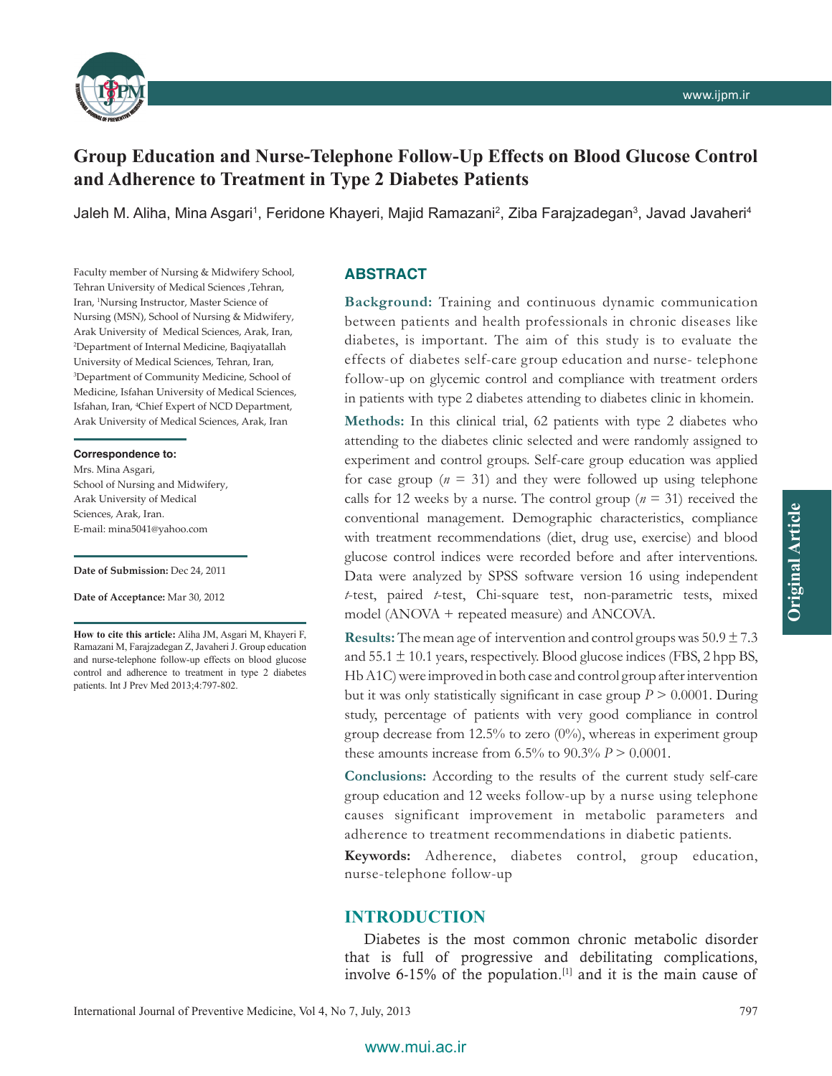

# **Group Education and Nurse‑Telephone Follow‑Up Effects on Blood Glucose Control and Adherence to Treatment in Type 2 Diabetes Patients**

Jaleh M. Aliha, Mina Asgari<sup>1</sup>, Feridone Khayeri, Majid Ramazani<sup>2</sup>, Ziba Farajzadegan<sup>3</sup>, Javad Javaheri<sup>4</sup>

Faculty member of Nursing & Midwifery School, Tehran University of Medical Sciences ,Tehran, Iran, 1 Nursing Instructor, Master Science of Nursing (MSN), School of Nursing & Midwifery, Arak University of Medical Sciences, Arak, Iran, 2 Department of Internal Medicine, Baqiyatallah University of Medical Sciences, Tehran, Iran, 3 Department of Community Medicine, School of Medicine, Isfahan University of Medical Sciences, Isfahan, Iran, 4 Chief Expert of NCD Department, Arak University of Medical Sciences, Arak, Iran

#### **Correspondence to:**

Mrs. Mina Asgari, School of Nursing and Midwifery, Arak University of Medical Sciences, Arak, Iran. E‑mail: mina5041@yahoo.com

#### **Date of Submission:** Dec 24, 2011

**Date of Acceptance:** Mar 30, 2012

**How to cite this article:** Aliha JM, Asgari M, Khayeri F, Ramazani M, Farajzadegan Z, Javaheri J. Group education and nurse-telephone follow-up effects on blood glucose control and adherence to treatment in type 2 diabetes patients. Int J Prev Med 2013;4:797-802.

#### **ABSTRACT**

**Background:** Training and continuous dynamic communication between patients and health professionals in chronic diseases like diabetes, is important. The aim of this study is to evaluate the effects of diabetes self‑care group education and nurse‑ telephone follow‑up on glycemic control and compliance with treatment orders in patients with type 2 diabetes attending to diabetes clinic in khomein.

**Methods:** In this clinical trial, 62 patients with type 2 diabetes who attending to the diabetes clinic selected and were randomly assigned to experiment and control groups. Self-care group education was applied for case group  $(n = 31)$  and they were followed up using telephone calls for 12 weeks by a nurse. The control group  $(n = 31)$  received the conventional management. Demographic characteristics, compliance with treatment recommendations (diet, drug use, exercise) and blood glucose control indices were recorded before and after interventions. Data were analyzed by SPSS software version 16 using independent *t*‑test, paired *t*‑test, Chi‑square test, non‑parametric tests, mixed model (ANOVA + repeated measure) and ANCOVA.

**Results:** The mean age of intervention and control groups was  $50.9 \pm 7.3$ and  $55.1 \pm 10.1$  years, respectively. Blood glucose indices (FBS, 2 hpp BS, Hb A1C) were improved in both case and control group after intervention but it was only statistically significant in case group  $P > 0.0001$ . During study, percentage of patients with very good compliance in control group decrease from 12.5% to zero  $(0\%)$ , whereas in experiment group these amounts increase from  $6.5\%$  to  $90.3\%$  *P* > 0.0001.

Conclusions: According to the results of the current study self-care group education and 12 weeks follow‑up by a nurse using telephone causes significant improvement in metabolic parameters and adherence to treatment recommendations in diabetic patients.

**Keywords:** Adherence, diabetes control, group education, nurse‑telephone follow‑up

### **INTRODUCTION**

Diabetes is the most common chronic metabolic disorder that is full of progressive and debilitating complications, involve 6-15% of the population. $[1]$  and it is the main cause of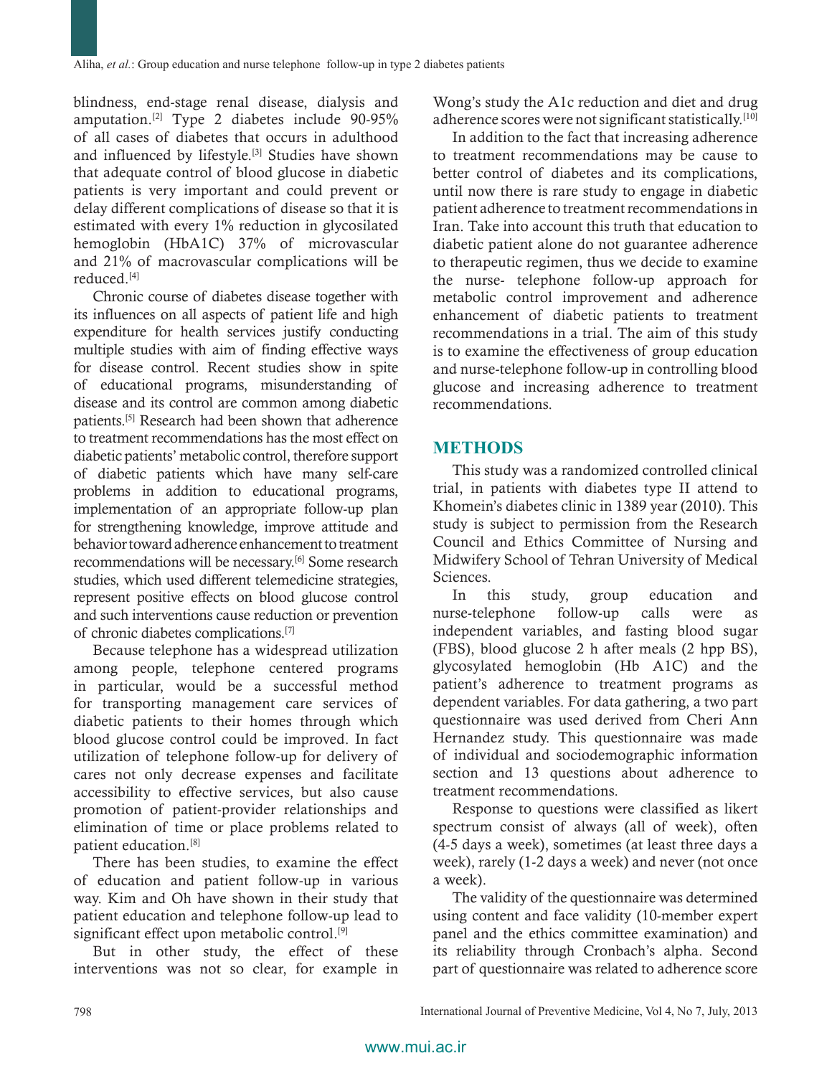blindness, end‑stage renal disease, dialysis and amputation.[2] Type 2 diabetes include 90‑95% of all cases of diabetes that occurs in adulthood and influenced by lifestyle.[3] Studies have shown that adequate control of blood glucose in diabetic patients is very important and could prevent or delay different complications of disease so that it is estimated with every 1% reduction in glycosilated hemoglobin (HbA1C) 37% of microvascular and 21% of macrovascular complications will be reduced.[4]

Chronic course of diabetes disease together with its influences on all aspects of patient life and high expenditure for health services justify conducting multiple studies with aim of finding effective ways for disease control. Recent studies show in spite of educational programs, misunderstanding of disease and its control are common among diabetic patients.[5] Research had been shown that adherence to treatment recommendations has the most effect on diabetic patients' metabolic control, therefore support of diabetic patients which have many self-care problems in addition to educational programs, implementation of an appropriate follow-up plan for strengthening knowledge, improve attitude and behavior toward adherence enhancement to treatment recommendations will be necessary.<sup>[6]</sup> Some research studies, which used different telemedicine strategies, represent positive effects on blood glucose control and such interventions cause reduction or prevention of chronic diabetes complications.[7]

Because telephone has a widespread utilization among people, telephone centered programs in particular, would be a successful method for transporting management care services of diabetic patients to their homes through which blood glucose control could be improved. In fact utilization of telephone follow‑up for delivery of cares not only decrease expenses and facilitate accessibility to effective services, but also cause promotion of patient‑provider relationships and elimination of time or place problems related to patient education.[8]

There has been studies, to examine the effect of education and patient follow‑up in various way. Kim and Oh have shown in their study that patient education and telephone follow‑up lead to significant effect upon metabolic control.<sup>[9]</sup>

But in other study, the effect of these interventions was not so clear, for example in Wong's study the A1c reduction and diet and drug adherence scores were not significant statistically.<sup>[10]</sup>

In addition to the fact that increasing adherence to treatment recommendations may be cause to better control of diabetes and its complications, until now there is rare study to engage in diabetic patient adherence to treatment recommendations in Iran. Take into account this truth that education to diabetic patient alone do not guarantee adherence to therapeutic regimen, thus we decide to examine the nurse‑ telephone follow‑up approach for metabolic control improvement and adherence enhancement of diabetic patients to treatment recommendations in a trial. The aim of this study is to examine the effectiveness of group education and nurse‑telephone follow‑up in controlling blood glucose and increasing adherence to treatment recommendations.

## **METHODS**

This study was a randomized controlled clinical trial, in patients with diabetes type II attend to Khomein's diabetes clinic in 1389 year (2010). This study is subject to permission from the Research Council and Ethics Committee of Nursing and Midwifery School of Tehran University of Medical Sciences.

In this study, group education and nurse-telephone follow-up calls were as independent variables, and fasting blood sugar (FBS), blood glucose 2 h after meals (2 hpp BS), glycosylated hemoglobin (Hb A1C) and the patient's adherence to treatment programs as dependent variables. For data gathering, a two part questionnaire was used derived from Cheri Ann Hernandez study. This questionnaire was made of individual and sociodemographic information section and 13 questions about adherence to treatment recommendations.

Response to questions were classified as likert spectrum consist of always (all of week), often (4‑5 days a week), sometimes (at least three days a week), rarely (1‑2 days a week) and never (not once a week).

The validity of the questionnaire was determined using content and face validity (10‑member expert panel and the ethics committee examination) and its reliability through Cronbach's alpha. Second part of questionnaire was related to adherence score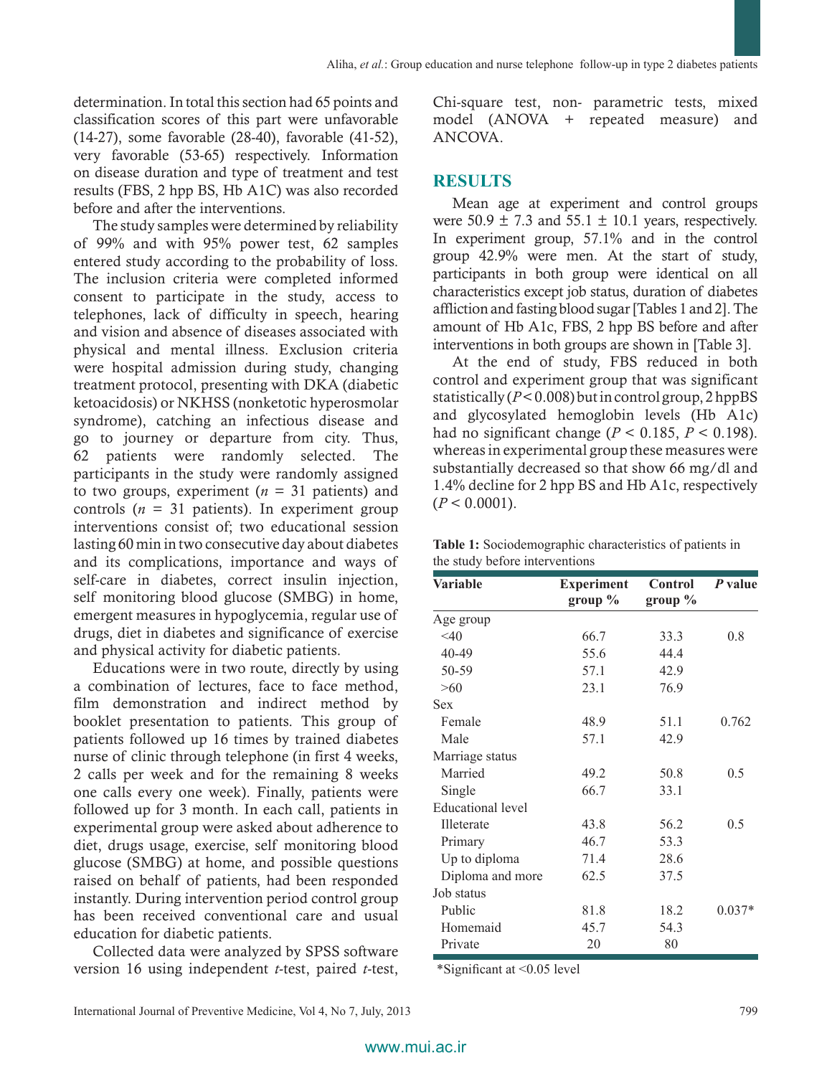determination. In total this section had 65 points and classification scores of this part were unfavorable (14‑27), some favorable (28‑40), favorable (41‑52), very favorable (53‑65) respectively. Information on disease duration and type of treatment and test results (FBS, 2 hpp BS, Hb A1C) was also recorded before and after the interventions.

The study samples were determined by reliability of 99% and with 95% power test, 62 samples entered study according to the probability of loss. The inclusion criteria were completed informed consent to participate in the study, access to telephones, lack of difficulty in speech, hearing and vision and absence of diseases associated with physical and mental illness. Exclusion criteria were hospital admission during study, changing treatment protocol, presenting with DKA (diabetic ketoacidosis) or NKHSS (nonketotic hyperosmolar syndrome), catching an infectious disease and go to journey or departure from city. Thus, 62 patients were randomly selected. The participants in the study were randomly assigned to two groups, experiment  $(n = 31$  patients) and controls  $(n = 31$  patients). In experiment group interventions consist of; two educational session lasting 60 min in two consecutive day about diabetes and its complications, importance and ways of self-care in diabetes, correct insulin injection, self monitoring blood glucose (SMBG) in home, emergent measures in hypoglycemia, regular use of drugs, diet in diabetes and significance of exercise and physical activity for diabetic patients.

Educations were in two route, directly by using a combination of lectures, face to face method, film demonstration and indirect method by booklet presentation to patients. This group of patients followed up 16 times by trained diabetes nurse of clinic through telephone (in first 4 weeks, 2 calls per week and for the remaining 8 weeks one calls every one week). Finally, patients were followed up for 3 month. In each call, patients in experimental group were asked about adherence to diet, drugs usage, exercise, self monitoring blood glucose (SMBG) at home, and possible questions raised on behalf of patients, had been responded instantly. During intervention period control group has been received conventional care and usual education for diabetic patients.

Collected data were analyzed by SPSS software version 16 using independent *t*‑test, paired *t*‑test, Chi‑square test, non‑ parametric tests, mixed model (ANOVA + repeated measure) and ANCOVA.

# **RESULTS**

Mean age at experiment and control groups were  $50.9 \pm 7.3$  and  $55.1 \pm 10.1$  years, respectively. In experiment group, 57.1% and in the control group 42.9% were men. At the start of study, participants in both group were identical on all characteristics except job status, duration of diabetes affliction and fasting blood sugar[Tables 1 and 2]. The amount of Hb A1c, FBS, 2 hpp BS before and after interventions in both groups are shown in [Table 3].

At the end of study, FBS reduced in both control and experiment group that was significant statistically (*P*<0.008) but in control group, 2hppBS and glycosylated hemoglobin levels (Hb A1c) had no significant change ( $P < 0.185$ ,  $P < 0.198$ ). whereas in experimental group these measures were substantially decreased so that show 66 mg/dl and 1.4% decline for 2 hpp BS and Hb A1c, respectively  $(P < 0.0001)$ .

| <b>Variable</b>          | <b>Experiment</b> | Control    | $P$ value |
|--------------------------|-------------------|------------|-----------|
|                          | group $\%$        | group $\%$ |           |
| Age group                |                   |            |           |
| $<$ 40                   | 66.7              | 33.3       | 0.8       |
| 40-49                    | 55.6              | 44.4       |           |
| 50-59                    | 57.1              | 42.9       |           |
| >60                      | 23.1              | 76.9       |           |
| <b>Sex</b>               |                   |            |           |
| Female                   | 48.9              | 51.1       | 0.762     |
| Male                     | 57.1              | 42.9       |           |
| Marriage status          |                   |            |           |
| Married                  | 49.2              | 50.8       | 0.5       |
| Single                   | 66.7              | 33.1       |           |
| <b>Educational</b> level |                   |            |           |
| Illeterate               | 43.8              | 56.2       | 0.5       |
| Primary                  | 46.7              | 53.3       |           |
| Up to diploma            | 71.4              | 28.6       |           |
| Diploma and more         | 62.5              | 37.5       |           |
| Job status               |                   |            |           |
| Public                   | 81.8              | 18.2       | $0.037*$  |
| Homemaid                 | 45.7              | 54.3       |           |
| Private                  | 20                | 80         |           |

**Table 1:** Sociodemographic characteristics of patients in the study before interventions

\*Significant at <0.05 level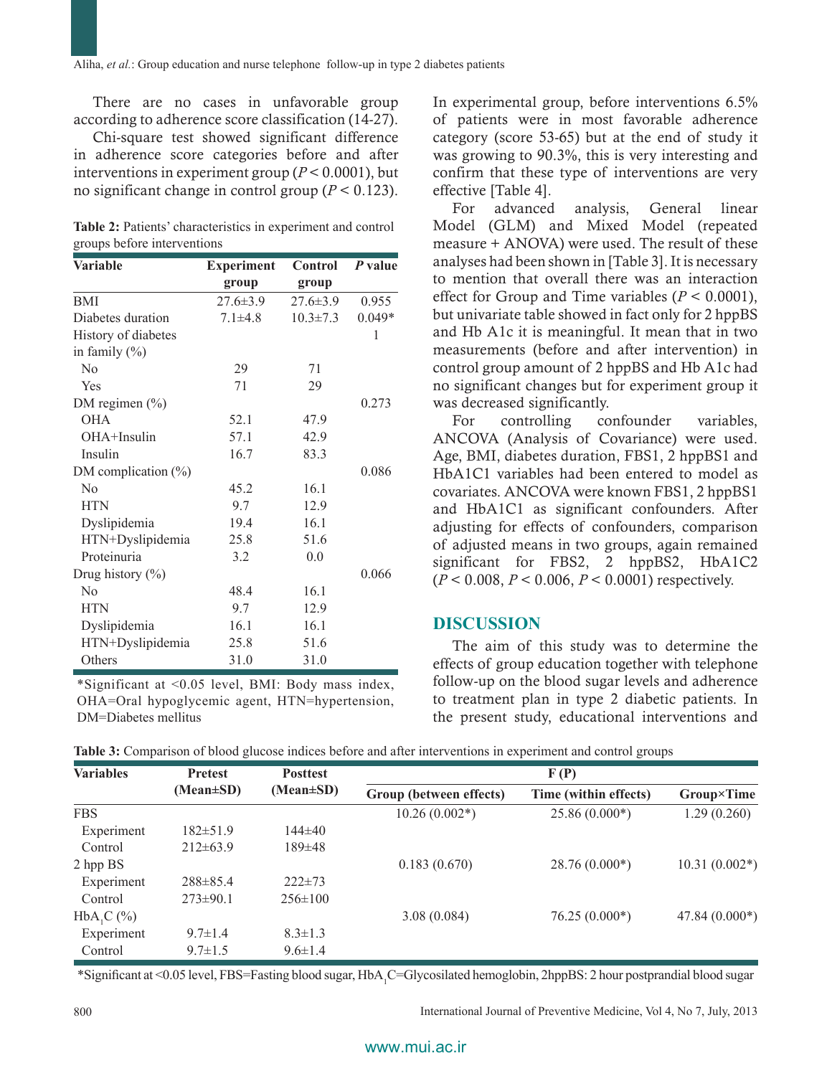There are no cases in unfavorable group according to adherence score classification (14‑27).

Chi‑square test showed significant difference in adherence score categories before and after interventions in experiment group (*P* < 0.0001), but no significant change in control group ( $P < 0.123$ ).

|                             | Table 2: Patients' characteristics in experiment and control |
|-----------------------------|--------------------------------------------------------------|
| groups before interventions |                                                              |

| <b>Variable</b>         | <b>Experiment</b> | Control        | P value  |
|-------------------------|-------------------|----------------|----------|
|                         | group             | group          |          |
| <b>BMI</b>              | $27.6 \pm 3.9$    | $27.6 \pm 3.9$ | 0.955    |
| Diabetes duration       | $7.1 \pm 4.8$     | $10.3 \pm 7.3$ | $0.049*$ |
| History of diabetes     |                   |                | 1        |
| in family $(\% )$       |                   |                |          |
| $\rm No$                | 29                | 71             |          |
| Yes                     | 71                | 29             |          |
| DM regimen $(\% )$      |                   |                | 0.273    |
| <b>OHA</b>              | 52.1              | 47.9           |          |
| $OHA+Insulin$           | 57.1              | 42.9           |          |
| Insulin                 | 16.7              | 83.3           |          |
| DM complication $(\% )$ |                   |                | 0.086    |
| N <sub>0</sub>          | 45.2              | 16.1           |          |
| <b>HTN</b>              | 9.7               | 12.9           |          |
| Dyslipidemia            | 19.4              | 16.1           |          |
| HTN+Dyslipidemia        | 25.8              | 51.6           |          |
| Proteinuria             | 3.2               | 0.0            |          |
| Drug history (%)        |                   |                | 0.066    |
| $\rm No$                | 48.4              | 16.1           |          |
| <b>HTN</b>              | 9.7               | 12.9           |          |
| Dyslipidemia            | 16.1              | 16.1           |          |
| HTN+Dyslipidemia        | 25.8              | 51.6           |          |
| Others                  | 31.0              | 31.0           |          |

\*Significant at <0.05 level, BMI: Body mass index, OHA=Oral hypoglycemic agent, HTN=hypertension, DM=Diabetes mellitus

In experimental group, before interventions 6.5% of patients were in most favorable adherence category (score 53‑65) but at the end of study it was growing to 90.3%, this is very interesting and confirm that these type of interventions are very effective [Table 4].

For advanced analysis, General linear Model (GLM) and Mixed Model (repeated measure + ANOVA) were used. The result of these analyses had been shown in [Table 3]. It is necessary to mention that overall there was an interaction effect for Group and Time variables  $(P < 0.0001)$ , but univariate table showed in fact only for 2 hppBS and Hb A1c it is meaningful. It mean that in two measurements (before and after intervention) in control group amount of 2 hppBS and Hb A1c had no significant changes but for experiment group it was decreased significantly.

For controlling confounder variables, ANCOVA (Analysis of Covariance) were used. Age, BMI, diabetes duration, FBS1, 2 hppBS1 and HbA1C1 variables had been entered to model as covariates. ANCOVA were known FBS1, 2 hppBS1 and HbA1C1 as significant confounders. After adjusting for effects of confounders, comparison of adjusted means in two groups, again remained significant for FBS2, 2 hppBS2, HbA1C2 (*P* < 0.008, *P* < 0.006, *P* < 0.0001) respectively.

### **DISCUSSION**

The aim of this study was to determine the effects of group education together with telephone follow‑up on the blood sugar levels and adherence to treatment plan in type 2 diabetic patients. In the present study, educational interventions and

|  |  |  | Table 3: Comparison of blood glucose indices before and after interventions in experiment and control groups |  |  |  |  |  |  |  |
|--|--|--|--------------------------------------------------------------------------------------------------------------|--|--|--|--|--|--|--|
|--|--|--|--------------------------------------------------------------------------------------------------------------|--|--|--|--|--|--|--|

| <b>Variables</b> | <b>Pretest</b><br><b>Posttest</b> |               | F(P)                    |                       |                 |  |
|------------------|-----------------------------------|---------------|-------------------------|-----------------------|-----------------|--|
|                  | $(Mean \pm SD)$                   | (Mean±SD)     | Group (between effects) | Time (within effects) | Group×Time      |  |
| <b>FBS</b>       |                                   |               | $10.26(0.002*)$         | $25.86(0.000*)$       | 1.29(0.260)     |  |
| Experiment       | $182 \pm 51.9$                    | $144\pm 40$   |                         |                       |                 |  |
| Control          | $212\pm 63.9$                     | 189±48        |                         |                       |                 |  |
| 2 hpp BS         |                                   |               | 0.183(0.670)            | $28.76(0.000*)$       | $10.31(0.002*)$ |  |
| Experiment       | $288 \pm 85.4$                    | $222 \pm 73$  |                         |                       |                 |  |
| Control          | $273 \pm 90.1$                    | $256 \pm 100$ |                         |                       |                 |  |
| $HbA1C$ (%)      |                                   |               | 3.08(0.084)             | $76.25(0.000*)$       | $47.84(0.000*)$ |  |
| Experiment       | $9.7 \pm 1.4$                     | $8.3 \pm 1.3$ |                         |                       |                 |  |
| Control          | $9.7 \pm 1.5$                     | $9.6 \pm 1.4$ |                         |                       |                 |  |
|                  |                                   |               |                         |                       |                 |  |

\*Significant at <0.05 level, FBS=Fasting blood sugar, HbA<sub>1</sub>C=Glycosilated hemoglobin, 2hppBS: 2 hour postprandial blood sugar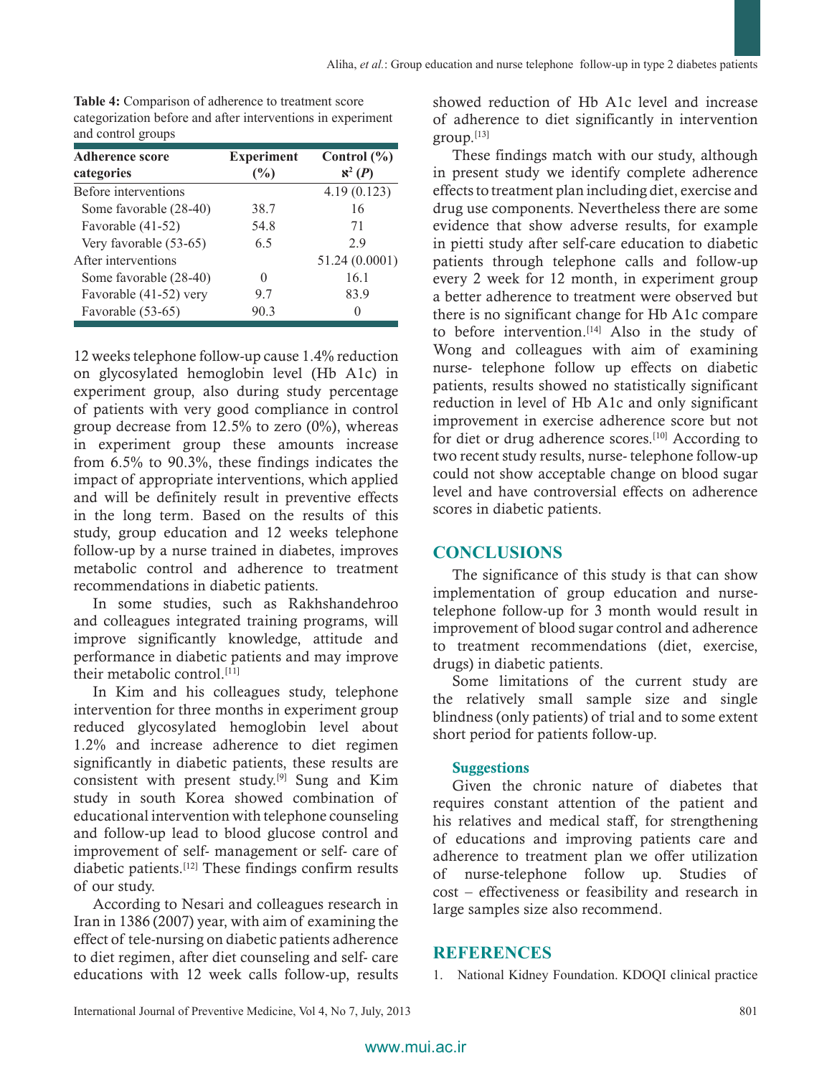| and control groups                   |                          |                                  |
|--------------------------------------|--------------------------|----------------------------------|
| <b>Adherence score</b><br>categories | <b>Experiment</b><br>(%) | Control $(\% )$<br>$\aleph^2(P)$ |
| Before interventions                 |                          | 4.19(0.123)                      |
| Some favorable (28-40)               | 38.7                     | 16                               |
| Favorable (41-52)                    | 54.8                     | 71                               |
| Very favorable (53-65)               | 6.5                      | 29                               |
| After interventions                  |                          | 51.24 (0.0001)                   |
| Some favorable (28-40)               |                          | 16.1                             |
| Favorable (41-52) very               | 97                       | 83.9                             |
| Favorable (53-65)                    | 90.3                     |                                  |
|                                      |                          |                                  |

**Table 4:** Comparison of adherence to treatment score categorization before and after interventions in experiment and control groups

12 weeks telephone follow‑up cause 1.4% reduction on glycosylated hemoglobin level (Hb A1c) in experiment group, also during study percentage of patients with very good compliance in control group decrease from  $12.5\%$  to zero  $(0\%)$ , whereas in experiment group these amounts increase from 6.5% to 90.3%, these findings indicates the impact of appropriate interventions, which applied and will be definitely result in preventive effects in the long term. Based on the results of this study, group education and 12 weeks telephone follow‑up by a nurse trained in diabetes, improves metabolic control and adherence to treatment recommendations in diabetic patients.

In some studies, such as Rakhshandehroo and colleagues integrated training programs, will improve significantly knowledge, attitude and performance in diabetic patients and may improve their metabolic control.<sup>[11]</sup>

In Kim and his colleagues study, telephone intervention for three months in experiment group reduced glycosylated hemoglobin level about 1.2% and increase adherence to diet regimen significantly in diabetic patients, these results are consistent with present study.[9] Sung and Kim study in south Korea showed combination of educational intervention with telephone counseling and follow‑up lead to blood glucose control and improvement of self‑ management or self‑ care of diabetic patients.[12] These findings confirm results of our study.

According to Nesari and colleagues research in Iran in 1386 (2007) year, with aim of examining the effect of tele‑nursing on diabetic patients adherence to diet regimen, after diet counseling and self‑ care educations with 12 week calls follow‑up, results showed reduction of Hb A1c level and increase of adherence to diet significantly in intervention group.[13]

These findings match with our study, although in present study we identify complete adherence effects to treatment plan including diet, exercise and drug use components. Nevertheless there are some evidence that show adverse results, for example in pietti study after self-care education to diabetic patients through telephone calls and follow-up every 2 week for 12 month, in experiment group a better adherence to treatment were observed but there is no significant change for Hb A1c compare to before intervention.<sup>[14]</sup> Also in the study of Wong and colleagues with aim of examining nurse‑ telephone follow up effects on diabetic patients, results showed no statistically significant reduction in level of Hb A1c and only significant improvement in exercise adherence score but not for diet or drug adherence scores.[10] According to two recent study results, nurse‑ telephone follow‑up could not show acceptable change on blood sugar level and have controversial effects on adherence scores in diabetic patients.

## **CONCLUSIONS**

The significance of this study is that can show implementation of group education and nursetelephone follow‑up for 3 month would result in improvement of blood sugar control and adherence to treatment recommendations (diet, exercise, drugs) in diabetic patients.

Some limitations of the current study are the relatively small sample size and single blindness (only patients) of trial and to some extent short period for patients follow-up.

## **Suggestions**

Given the chronic nature of diabetes that requires constant attention of the patient and his relatives and medical staff, for strengthening of educations and improving patients care and adherence to treatment plan we offer utilization of nurse‑telephone follow up. Studies of cost – effectiveness or feasibility and research in large samples size also recommend.

# **REFERENCES**

1. National Kidney Foundation. KDOQI clinical practice